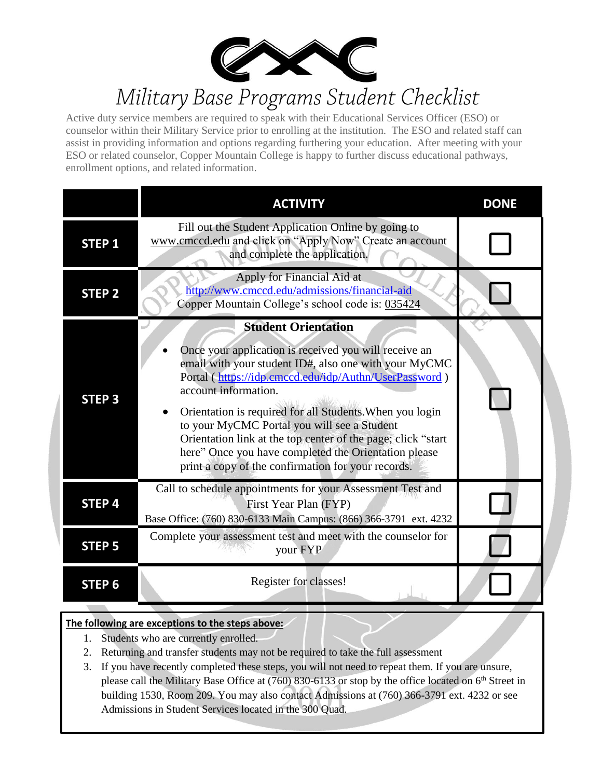

# Military Base Programs Student Checklist

Active duty service members are required to speak with their Educational Services Officer (ESO) or counselor within their Military Service prior to enrolling at the institution. The ESO and related staff can assist in providing information and options regarding furthering your education. After meeting with your ESO or related counselor, Copper Mountain College is happy to further discuss educational pathways, enrollment options, and related information.

|                   | <b>ACTIVITY</b>                                                                                                                                                                                                                                                                                                                                                                                                                                                                                                                                  | <b>DONE</b> |
|-------------------|--------------------------------------------------------------------------------------------------------------------------------------------------------------------------------------------------------------------------------------------------------------------------------------------------------------------------------------------------------------------------------------------------------------------------------------------------------------------------------------------------------------------------------------------------|-------------|
| <b>STEP 1</b>     | Fill out the Student Application Online by going to<br>www.cmccd.edu and click on "Apply Now" Create an account<br>and complete the application.                                                                                                                                                                                                                                                                                                                                                                                                 |             |
| <b>STEP 2</b>     | Apply for Financial Aid at<br>http://www.cmccd.edu/admissions/financial-aid<br>Copper Mountain College's school code is: 035424                                                                                                                                                                                                                                                                                                                                                                                                                  |             |
| <b>STEP 3</b>     | <b>Student Orientation</b><br>Once your application is received you will receive an<br>$\bullet$<br>email with your student ID#, also one with your MyCMC<br>Portal (https://idp.cmccd.edu/idp/Authn/UserPassword)<br>account information.<br>Orientation is required for all Students. When you login<br>$\bullet$<br>to your MyCMC Portal you will see a Student<br>Orientation link at the top center of the page; click "start<br>here" Once you have completed the Orientation please<br>print a copy of the confirmation for your records. |             |
| STEP <sub>4</sub> | Call to schedule appointments for your Assessment Test and<br>First Year Plan (FYP)<br>Base Office: (760) 830-6133 Main Campus: (866) 366-3791 ext. 4232                                                                                                                                                                                                                                                                                                                                                                                         |             |
| <b>STEP 5</b>     | Complete your assessment test and meet with the counselor for<br>your FYP                                                                                                                                                                                                                                                                                                                                                                                                                                                                        |             |
| STEP <sub>6</sub> | Register for classes!                                                                                                                                                                                                                                                                                                                                                                                                                                                                                                                            |             |

### **The following are exceptions to the steps above:**

- 1. Students who are currently enrolled.
- 2. Returning and transfer students may not be required to take the full assessment
- 3. If you have recently completed these steps, you will not need to repeat them. If you are unsure, please call the Military Base Office at (760) 830-6133 or stop by the office located on 6<sup>th</sup> Street in building 1530, Room 209. You may also contact Admissions at (760) 366-3791 ext. 4232 or see Admissions in Student Services located in the 300 Quad.